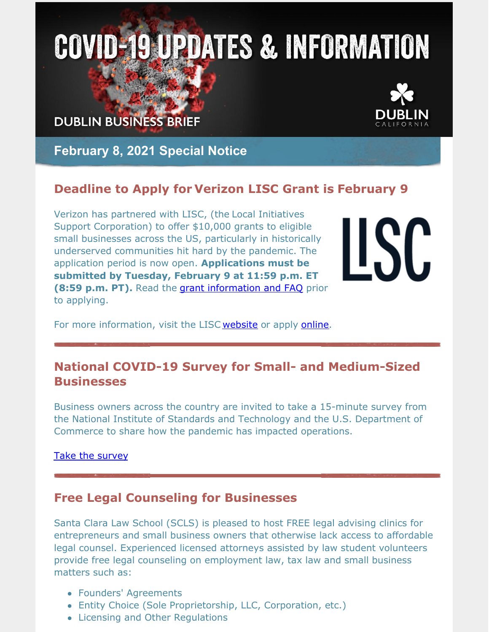# **COVID-19 UPDATES & INFORMATION**

**DUBLIN BUSINESS BRIEF** 



**February 8, 2021 Special Notice**

## **Deadline to Apply for Verizon LISC Grant is February 9**

Verizon has partnered with LISC, (the Local Initiatives Support Corporation) to offer \$10,000 grants to eligible small businesses across the US, particularly in historically underserved communities hit hard by the pandemic. The application period is now open. **Applications must be submitted by Tuesday, February 9 at 11:59 p.m. ET (8:59 p.m. PT).** Read the grant [information](https://liscnational.cmail20.com/t/r-l-juuhllyd-oczihdry-t/) and FAQ prior to applying.

**LSC** 

For more information, visit the LISC [website](https://www.lisc.org/covid-19/small-business-assistance/small-business-relief-grants/verizon-big-concert-small-business/?utm_medium=email&utm_campaign=eAnnouncement Verizon Grant Opening Batch 1&utm_content=eAnnouncement Verizon Grant Opening Batch 1+CID_beb0df2d96f5bf0e40d22deddcbc79ee&utm_source=Email marketing software&utm_term=Learn more here) or apply [online](https://lisc.tfaforms.net/279).

## **National COVID-19 Survey for Small- and Medium-Sized Businesses**

Business owners across the country are invited to take a 15-minute survey from the National Institute of Standards and Technology and the U.S. Department of Commerce to share how the pandemic has impacted operations.

#### Take the [survey](https://www.surveymonkey.com/r/SMECER_2B)

### **Free Legal Counseling for Businesses**

Santa Clara Law School (SCLS) is pleased to host FREE legal advising clinics for entrepreneurs and small business owners that otherwise lack access to affordable legal counsel. Experienced licensed attorneys assisted by law student volunteers provide free legal counseling on employment law, tax law and small business matters such as:

- Founders' Agreements
- Entity Choice (Sole Proprietorship, LLC, Corporation, etc.)
- Licensing and Other Regulations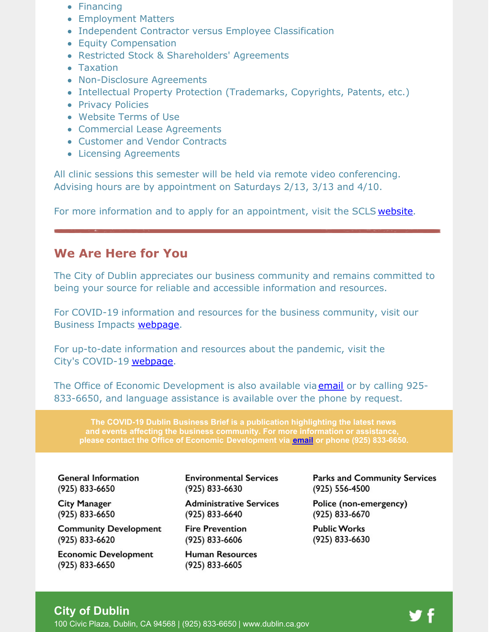- Financing
- Employment Matters
- Independent Contractor versus Employee Classification
- Equity Compensation
- Restricted Stock & Shareholders' Agreements
- Taxation
- Non-Disclosure Agreements
- Intellectual Property Protection (Trademarks, Copyrights, Patents, etc.)
- Privacy Policies
- Website Terms of Use
- Commercial Lease Agreements
- Customer and Vendor Contracts
- Licensing Agreements

All clinic sessions this semester will be held via remote video conferencing. Advising hours are by appointment on Saturdays 2/13, 3/13 and 4/10.

For more information and to apply for an appointment, visit the SCLS [website](https://law.scu.edu/elc/elac/).

#### **We Are Here for You**

The City of Dublin appreciates our business community and remains committed to being your source for reliable and accessible information and resources.

For COVID-19 information and resources for the business community, visit our Business Impacts **[webpage](https://dublin.ca.gov/2177/COVID-19-Business-Impacts)**.

For up-to-date information and resources about the pandemic, visit the City's COVID-19 [webpage](https://www.dublin.ca.gov/coronavirus).

The Office of Economic Development is also available via [email](mailto:economic.development@dublin.ca.gov) or by calling 925-833-6650, and language assistance is available over the phone by request.

**The COVID-19 Dublin Business Brief is a publication highlighting the latest news and events affecting the business community. For more information or assistance, please contact the Office of Economic Development via [email](mailto:economic.development@dublin.ca.gov) or phone (925) 833-6650.**

**General Information** (925) 833-6650

**City Manager** (925) 833-6650

**Community Development** (925) 833-6620

**Economic Development** (925) 833-6650

**Environmental Services** (925) 833-6630

**Administrative Services** (925) 833-6640

**Fire Prevention** (925) 833-6606

**Human Resources** (925) 833-6605

**Parks and Community Services** (925) 556-4500

Police (non-emergency) (925) 833-6670

Public Works (925) 833-6630

#### **City of Dublin**

100 Civic Plaza, Dublin, CA 94568 | (925) 833-6650 | [www.dublin.ca.gov](http://www.dublin.ca.gov)